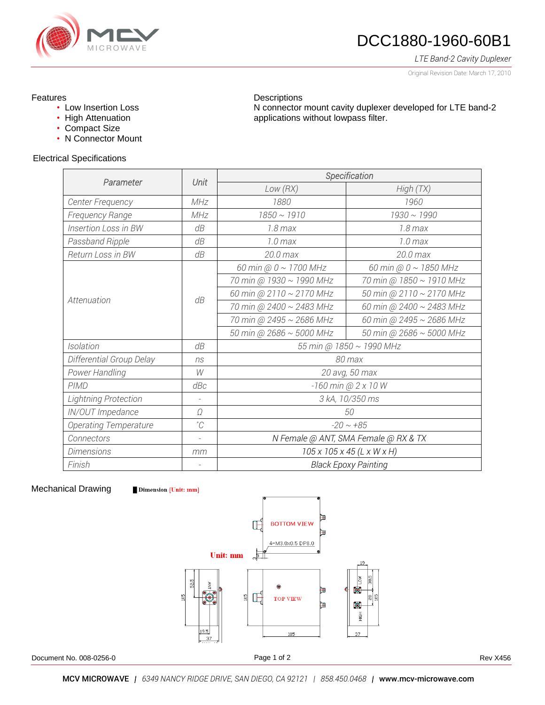

# DCC1880-1960-60B1

N connector mount cavity duplexer developed for LTE band-2

*LTE Band-2 Cavity Duplexer*

Original Revision Date: March 17, 2010

### Features

- Low Insertion Loss
- High Attenuation
- Compact Size
- N Connector Mount

#### Electrical Specifications

| Parameter                    | Unit                     | Specification                          |                            |
|------------------------------|--------------------------|----------------------------------------|----------------------------|
|                              |                          | Low(RX)                                | High (TX)                  |
| Center Frequency             | MHz                      | 1880                                   | 1960                       |
| Frequency Range              | MHz                      | $1850 \sim 1910$                       | $1930 \sim 1990$           |
| Insertion Loss in BW         | dB                       | $1.8 \,\mathrm{max}$                   | $1.8$ max                  |
| Passband Ripple              | dB                       | $1.0$ max                              | $1.0$ max                  |
| Return Loss in BW            | dB                       | 20.0 max                               | 20.0 max                   |
| Attenuation                  | dB                       | 60 min @ $0 \sim 1700$ MHz             | 60 min @ $0 \sim 1850$ MHz |
|                              |                          | 70 min @ 1930 ~ 1990 MHz               | 70 min @ 1850 ~ 1910 MHz   |
|                              |                          | 60 min @ 2110 ~ 2170 MHz               | 50 min @ 2110 ~ 2170 MHz   |
|                              |                          | 70 min @ 2400 ~ 2483 MHz               | 60 min @ 2400 ~ 2483 MHz   |
|                              |                          | 70 min @ 2495 ~ 2686 MHz               | 60 min @ 2495 ~ 2686 MHz   |
|                              |                          | 50 min @ 2686 ~ 5000 MHz               | 50 min @ 2686 ~ 5000 MHz   |
| Isolation                    | dB                       | 55 min @ 1850 ~ 1990 MHz               |                            |
| Differential Group Delay     | ns                       | 80 max                                 |                            |
| Power Handling               | W                        | 20 avg, 50 max                         |                            |
| <b>PIMD</b>                  | dBc                      | -160 min @ 2 x 10 W                    |                            |
| <b>Lightning Protection</b>  |                          | 3 kA, 10/350 ms                        |                            |
| IN/OUT Impedance             | Ω                        | 50                                     |                            |
| <b>Operating Temperature</b> | °C                       | $-20 \sim +85$                         |                            |
| Connectors                   | $\overline{\phantom{a}}$ | N Female @ ANT, SMA Female @ RX & TX   |                            |
| <b>Dimensions</b>            | mm                       | $105 \times 105 \times 45$ (L x W x H) |                            |
| Finish                       |                          | <b>Black Epoxy Painting</b>            |                            |

**Descriptions** 

applications without lowpass filter.

#### Mechanical Drawing

**Dimension** [Unit: mm]



Ī